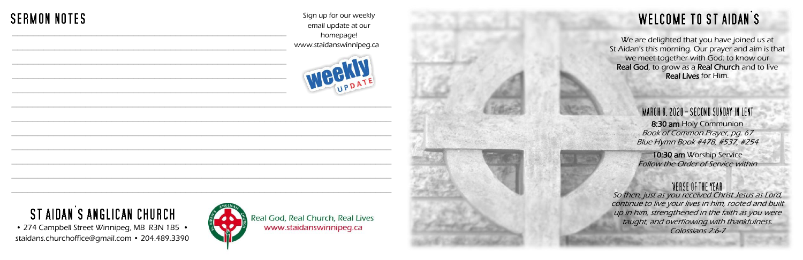We are delighted that you have joined us at St Aidan's this morning. Our prayer and aim is that we meet together with God: to know our Real God, to grow as a Real Church and to live Real Lives for Him.

#### MARCH 8, 2020 - SECOND SUNDAY IN LENT 8:30 am Holy Communion Book of Common Prayer, pg. 67 Blue Hymn Book #478, #537, #254

10:30 am Worship Service Follow the Order of Service within

#### VERSE OF THE YEAR



• 274 Campbell Street Winnipeg, MB R3N 1B5 • staidans.churchoffice@gmail.com • 204.489.3390

Sign up for our weekly email update at our homepage! www.staidanswinnipeg.ca





Real God, Real Church, Real Lives www.staidanswinnipeg.ca

## **WELCOME TO ST AIDAN'S**

### **SERMON NOTES** \_\_\_\_\_\_\_\_\_\_\_\_\_\_\_\_\_\_\_\_\_\_\_\_\_\_\_\_\_\_\_\_\_\_\_\_\_\_\_\_\_\_\_\_\_\_\_\_\_\_\_\_

# ST AIDAN'S ANGLICAN CHURCH

So then, just as you received Christ Jesus as Lord, continue to live your lives in him, rooted and built up in him, strengthened in the faith as you were taught, and overflowing with thankfulness. Colossians 2:6-7

\_\_\_\_\_\_\_\_\_\_\_\_\_\_\_\_\_\_\_\_\_\_\_\_\_\_\_\_\_\_\_\_\_\_\_\_\_\_\_\_\_\_\_\_\_\_\_\_\_\_\_\_

\_\_\_\_\_\_\_\_\_\_\_\_\_\_\_\_\_\_\_\_\_\_\_\_\_\_\_\_\_\_\_\_\_\_\_\_\_\_\_\_\_\_\_\_\_\_\_\_\_\_\_\_

\_\_\_\_\_\_\_\_\_\_\_\_\_\_\_\_\_\_\_\_\_\_\_\_\_\_\_\_\_\_\_\_\_\_\_\_\_\_\_\_\_\_\_\_\_\_\_\_\_\_\_\_

\_\_\_\_\_\_\_\_\_\_\_\_\_\_\_\_\_\_\_\_\_\_\_\_\_\_\_\_\_\_\_\_\_\_\_\_\_\_\_\_\_\_\_\_\_\_\_\_\_\_\_\_

 $\overline{a}$  , and the contribution of the contribution of the contribution of the contribution of the contribution of the contribution of the contribution of the contribution of the contribution of the contribution of the co

 $\overline{a}$  , and the contribution of the contribution of the contribution of the contribution of the contribution of the contribution of the contribution of the contribution of the contribution of the contribution of the co

 $\overline{a}$  , and the contribution of the contribution of the contribution of the contribution of the contribution of the contribution of the contribution of the contribution of the contribution of the contribution of the co

 $\mathcal{L}_\text{G}$  , and the contribution of the contribution of the contribution of the contribution of the contribution of the contribution of the contribution of the contribution of the contribution of the contribution of t

 $\mathcal{L}_\text{G}$  , and the contribution of the contribution of the contribution of the contribution of the contribution of the contribution of the contribution of the contribution of the contribution of the contribution of t

 $\mathcal{L}_\text{G}$  , and the set of the set of the set of the set of the set of the set of the set of the set of the set of the set of the set of the set of the set of the set of the set of the set of the set of the set of the

 $\mathcal{L}_\text{max}$  , and the contribution of the contribution of the contribution of the contribution of the contribution of the contribution of the contribution of the contribution of the contribution of the contribution of t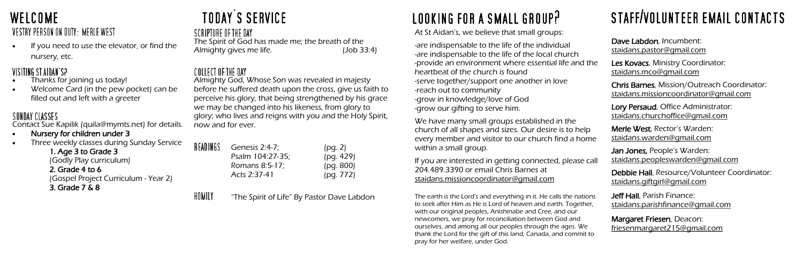### **WELCOME** VESTRY PERSON ON DUTY: MERLE WEST

If you need to use the elevator, or find the nursery, etc.

### VISITING ST AIDAN'S?

- Thanks for joining us today!
- Welcome Card (in the pew pocket) can be filled out and left with a greeter

### SUNDAY CLASSES

Contact Sue Kapilik (quila@mymts.net) for details.

### • Nursery for children under 3

• Three weekly classes during Sunday Service

1. Age 3 to Grade 3 (Godly Play curriculum) 2. Grade 4 to 6 (Gospel Project Curriculum - Year 2) 3. Grade 7 & 8

## **TODAY'S SERVICE**

SCRIPTURE OF THE DAY The Spirit of God has made me; the breath of the Almighty gives me life. (Job 33:4)

### COLLECT OF THE DAY

READ

The earth is the Lord's and everything in it. He calls the nation to seek after Him as He is Lord of heaven and earth. Together with our original peoples, Anishinabe and Cree, and our newcomers, we pray for reconciliation between God and ourselves, and among all our peoples through the ages. We thank the Lord for the gift of this land, Canada, and commit to pray for her welfare, under God.

# STAFF/VOLUNTEER EMAIL CONTACTS

|            | Dave Labdon, Incumbent:<br><u>staidans.pastor@gmail.com</u>                                        |
|------------|----------------------------------------------------------------------------------------------------|
| ነԲ         | Les Kovacs, Ministry Coordinator:<br>staidans.mco@gmail.com                                        |
|            | <b>Chris Barnes, Mission/Outreach Coordinator:</b><br><u>staidans.missioncoordinator@qmail.com</u> |
|            | Lory Persaud, Office Administrator:<br>staidans.churchoffice@gmail.com                             |
| $\epsilon$ | Merle West, Rector's Warden:<br><u>staidans.warden@qmail.com</u>                                   |
| all        | <b>Jan Jones, People's Warden:</b><br>staidans.peopleswarden@gmail.com                             |
|            | Debbie Hall, Resource/Volunteer Coordinator:<br>staidans.giftgirl@gmail.com                        |
| ΙS         | <b>Jeff Hall</b> , Parish Finance:<br><u>staidans.parishfinance@gmail.com</u>                      |
| C          | Margaret Friesen, Deacon:<br><u>friesenmargaret215@gmail.com</u>                                   |

HOMILY "The Spirit of Life" By Pastor Dave Labdon

# LOOKING FOR A SMALL GROUP?

We have many small groups established in the church of all shapes and sizes. Our desire is to help every member and visitor to our church find a hom within a small group.

If you are interested in getting connected, please call 204.489.3390 or email Chris Barnes at [staidans.missioncoordinator@gmail.com](mailto:staidans.missioncoordinator@gmail.com)

Almighty God, Whose Son was revealed in majesty before he suffered death upon the cross, give us faith to perceive his glory, that being strengthened by his grace we may be changed into his likeness, from glory to glory; who lives and reigns with you and the Holy Spirit, now and for ever.

| INGS | Genesis 2:4-7;   | (pq. 2)   |
|------|------------------|-----------|
|      | Psalm 104.27-35; | (pg. 429) |
|      | Romans 8:5-17;   | (pg. 800) |
|      | Acts 2:37-41     | (pg. 772) |

At St Aidan's, we believe that small groups:

-are indispensable to the life of the individual -are indispensable to the life of the local church -provide an environment where essential life and the heartbeat of the church is found -serve together/support one another in love -reach out to community -grow in knowledge/love of God -grow our gifting to serve him.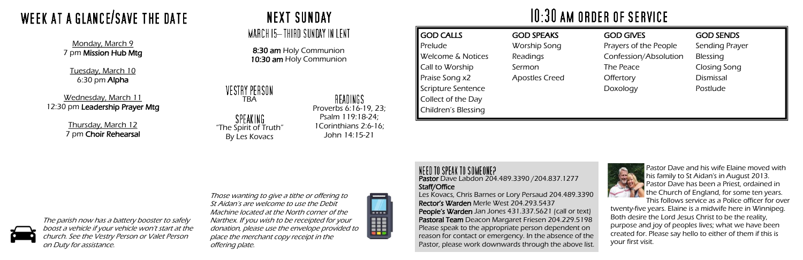#### NEED TO SPEAK TO SOMEONE? Pastor Dave Labdon 204.489.3390 /204.837.1277 Staff/Office

Les Kovacs, Chris Barnes or Lory Persaud 204.489.3390 Rector's Warden Merle West 204.293.5437 People's Warden Jan Jones 431.337.5621 (call or text) Pastoral Team Deacon Margaret Friesen 204.229.5198 Please speak to the appropriate person dependent on reason for contact or emergency. In the absence of the Pastor, please work downwards through the above list.

## $10:30$  AM ORDER OF SERVICE

#### VESTRY PERSON TBA

SPEAKING "The Spirit of Truth" By Les Kovacs

### READINGS

Wednesday, March 11 12:30 pm Leadership Prayer Mtg GOD CALLS Prelude Welcome & Notices Call to Worship Praise Song x2 Scripture Sentence Collect of the Day Children's Blessing GOD SPEAKS Worship Song Readings Sermon Apostles Creed

**Thursday, March 12** 7 pm Choir Rehearsal **NEXT SUNDAY** 

### MARCH 15-THIRD SUNDAY IN LENT

#### GOD GIVES

Prayers of the People Confession/Absolution The Peace **Offertory** Doxology

#### GOD SENDS

Sending Prayer Blessing Closing Song Dismissal Postlude



8:30 am Holy Communion 10:30 am Holy Communion

> Proverbs 6:16-19, 23; Psalm 119:18-24; 1Corinthians 2:6-16; John 14:15-21

# WEEK AT A GLANCE/SAVE THE DATE

Monday, March 9 7 pm Mission Hub Mtg

Tuesday, March 10 6:30 pm Alpha

> Pastor Dave and his wife Elaine moved with his family to St Aidan's in August 2013. Pastor Dave has been a Priest, ordained in the Church of England, for some ten years. This follows service as a Police officer for over

twenty-five years. Elaine is a midwife here in Winnipeg. Both desire the Lord Jesus Christ to be the reality, purpose and joy of peoples lives; what we have been created for. Please say hello to either of them if this is your first visit.

Those wanting to give a tithe or offering to St Aidan's are welcome to use the Debit Machine located at the North corner of the Narthex. If you wish to be receipted for your donation, please use the envelope provided to place the merchant copy receipt in the offering plate.



The parish now has a battery booster to safely boost a vehicle if your vehicle won't start at the church. See the Vestry Person or Valet Person on Duty for assistance.